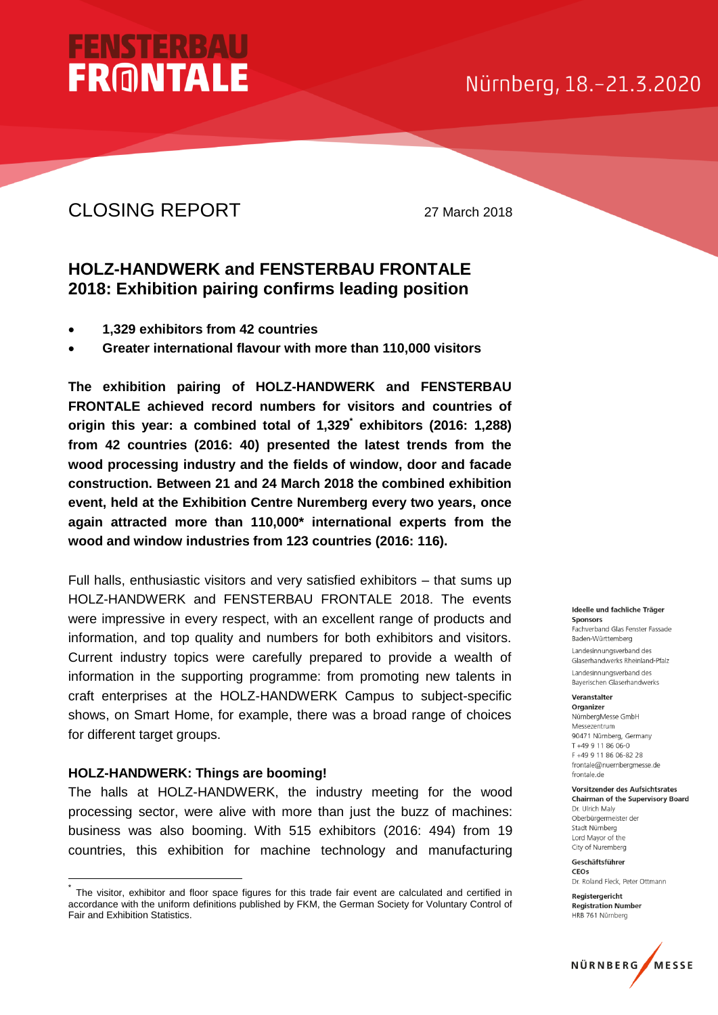## Nürnberg, 18.-21.3.2020

## CLOSING REPORT 27 March 2018

**FENSTERBA** 

**FRONTALE** 

## **HOLZ-HANDWERK and FENSTERBAU FRONTALE 2018: Exhibition pairing confirms leading position**

- **1,329 exhibitors from 42 countries**
- **Greater international flavour with more than 110,000 visitors**

**The exhibition pairing of HOLZ-HANDWERK and FENSTERBAU FRONTALE achieved record numbers for visitors and countries of origin this year: a combined total of 1,329\* exhibitors (2016: 1,288) from 42 countries (2016: 40) presented the latest trends from the wood processing industry and the fields of window, door and facade construction. Between 21 and 24 March 2018 the combined exhibition event, held at the Exhibition Centre Nuremberg every two years, once again attracted more than 110,000\* international experts from the wood and window industries from 123 countries (2016: 116).**

Full halls, enthusiastic visitors and very satisfied exhibitors – that sums up HOLZ-HANDWERK and FENSTERBAU FRONTALE 2018. The events were impressive in every respect, with an excellent range of products and information, and top quality and numbers for both exhibitors and visitors. Current industry topics were carefully prepared to provide a wealth of information in the supporting programme: from promoting new talents in craft enterprises at the HOLZ-HANDWERK Campus to subject-specific shows, on Smart Home, for example, there was a broad range of choices for different target groups.

## **HOLZ-HANDWERK: Things are booming!**

-

The halls at HOLZ-HANDWERK, the industry meeting for the wood processing sector, were alive with more than just the buzz of machines: business was also booming. With 515 exhibitors (2016: 494) from 19 countries, this exhibition for machine technology and manufacturing

#### Ideelle und fachliche Träger Sponsors

Fachverband Glas Fenster Fassade Baden-Württemberg Landesinnungsverband des Glaserhandwerks Rheinland-Pfalz Landesinnungsverband des Baverischen Glaserhandwerks

#### Veranstalter

Organizer NürnbergMesse GmbH Messezentrum 90471 Nürnberg Germany T +49 9 11 86 06-0 F+49 9 11 86 06-82 28 frontale@nuernbergmesse.de frontale.de

#### Vorsitzender des Aufsichtsrates **Chairman of the Supervisory Board**

Dr. Ulrich Maly Oberbürgermeister der Stadt Nürnberg Lord Mayor of the City of Nuremberg

#### Geschäftsführer CEOS

Dr. Roland Eleck, Peter Ottmann

Registergericht **Registration Number** HRB 761 Nürnberg



<sup>\*</sup> The visitor, exhibitor and floor space figures for this trade fair event are calculated and certified in accordance with the uniform definitions published by FKM, the German Society for Voluntary Control of Fair and Exhibition Statistics.